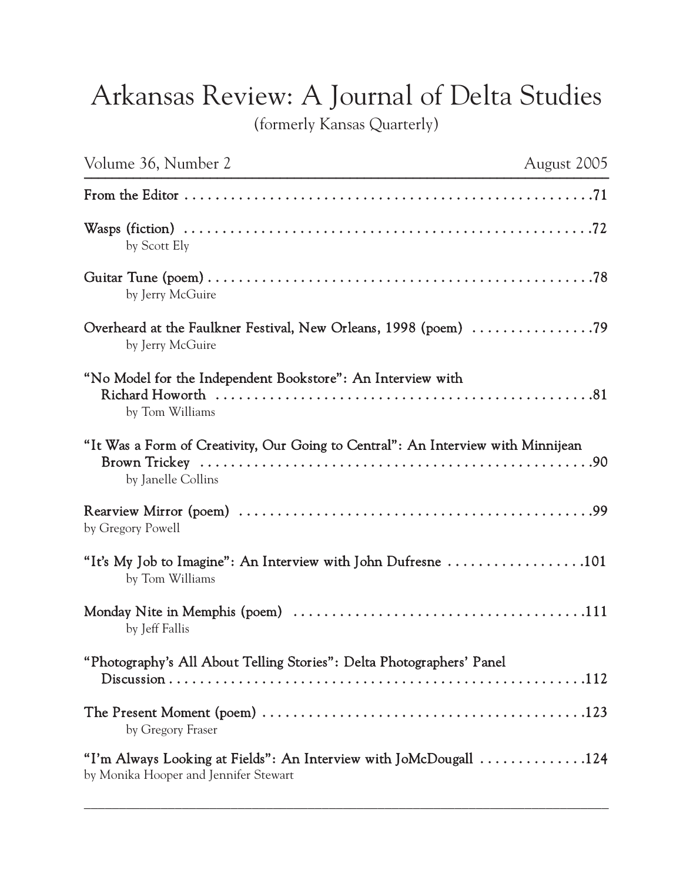## Arkansas Review: A Journal of Delta Studies

(formerly Kansas Quarterly)

| Volume 36, Number 2                                                                                               | August 2005 |
|-------------------------------------------------------------------------------------------------------------------|-------------|
|                                                                                                                   |             |
| by Scott Ely                                                                                                      |             |
| by Jerry McGuire                                                                                                  |             |
| Overheard at the Faulkner Festival, New Orleans, 1998 (poem) 79<br>by Jerry McGuire                               |             |
| "No Model for the Independent Bookstore": An Interview with<br>by Tom Williams                                    |             |
| "It Was a Form of Creativity, Our Going to Central": An Interview with Minnijean<br>by Janelle Collins            |             |
| by Gregory Powell                                                                                                 |             |
| "It's My Job to Imagine": An Interview with John Dufresne $\dots\dots\dots\dots\dots\dots 101$<br>by Tom Williams |             |
| by Jeff Fallis                                                                                                    |             |
| "Photography's All About Telling Stories": Delta Photographers' Panel                                             |             |
| by Gregory Fraser                                                                                                 |             |
| "I'm Always Looking at Fields": An Interview with JoMcDougall 124<br>by Monika Hooper and Jennifer Stewart        |             |